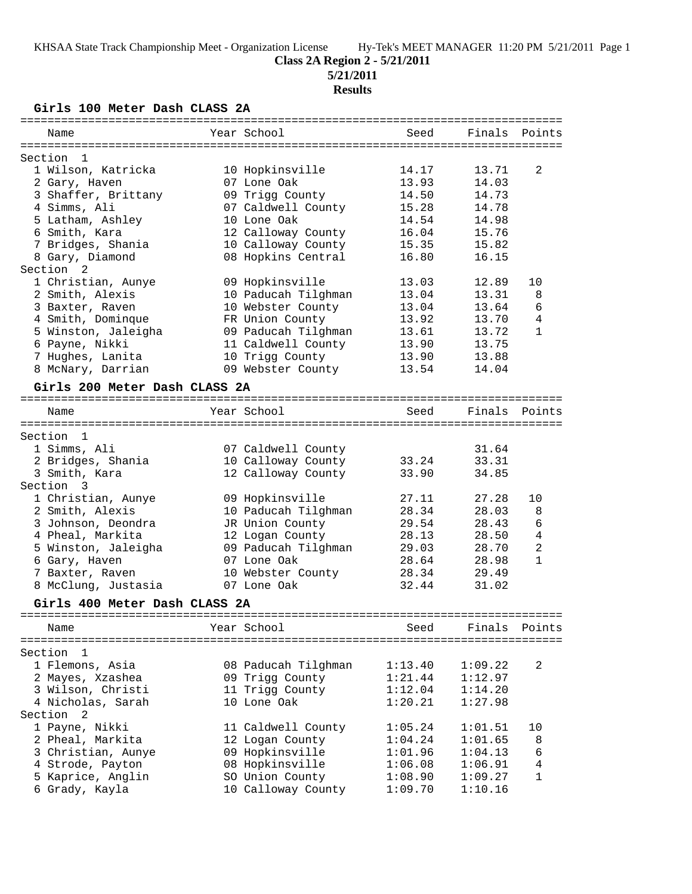# **Class 2A Region 2 - 5/21/2011**

**5/21/2011**

# **Results**

**Girls 100 Meter Dash CLASS 2A**

| Name                          | Year School         | Seed    | Finals  | Points         |
|-------------------------------|---------------------|---------|---------|----------------|
| Section<br>-1                 |                     |         |         |                |
| 1 Wilson, Katricka            | 10 Hopkinsville     | 14.17   | 13.71   | 2              |
| 2 Gary, Haven                 | 07 Lone Oak         | 13.93   | 14.03   |                |
| 3 Shaffer, Brittany           | 09 Trigg County     | 14.50   | 14.73   |                |
| 4 Simms, Ali                  | 07 Caldwell County  | 15.28   | 14.78   |                |
| 5 Latham, Ashley              | 10 Lone Oak         | 14.54   | 14.98   |                |
| 6 Smith, Kara                 | 12 Calloway County  | 16.04   | 15.76   |                |
| 7 Bridges, Shania             | 10 Calloway County  | 15.35   | 15.82   |                |
| 8 Gary, Diamond               | 08 Hopkins Central  | 16.80   | 16.15   |                |
| Section<br>$\overline{2}$     |                     |         |         |                |
| 1 Christian, Aunye            | 09 Hopkinsville     | 13.03   | 12.89   | 10             |
| 2 Smith, Alexis               | 10 Paducah Tilghman | 13.04   | 13.31   | 8              |
|                               |                     |         |         | 6              |
| 3 Baxter, Raven               | 10 Webster County   | 13.04   | 13.64   | 4              |
| 4 Smith, Dominque             | FR Union County     | 13.92   | 13.70   |                |
| 5 Winston, Jaleigha           | 09 Paducah Tilghman | 13.61   | 13.72   | $\mathbf{1}$   |
| 6 Payne, Nikki                | 11 Caldwell County  | 13.90   | 13.75   |                |
| 7 Hughes, Lanita              | 10 Trigg County     | 13.90   | 13.88   |                |
| 8 McNary, Darrian             | 09 Webster County   | 13.54   | 14.04   |                |
| Girls 200 Meter Dash CLASS 2A |                     |         |         |                |
|                               |                     |         |         |                |
| Name                          | Year School         | Seed    | Finals  | Points         |
| Section<br>$\mathbf{1}$       |                     |         |         |                |
| 1 Simms, Ali                  | 07 Caldwell County  |         | 31.64   |                |
| 2 Bridges, Shania             | 10 Calloway County  | 33.24   | 33.31   |                |
| 3 Smith, Kara                 | 12 Calloway County  | 33.90   | 34.85   |                |
| Section<br>3                  |                     |         |         |                |
| 1 Christian, Aunye            | 09 Hopkinsville     | 27.11   | 27.28   | 10             |
| 2 Smith, Alexis               | 10 Paducah Tilghman | 28.34   | 28.03   | 8              |
|                               |                     |         | 28.43   | 6              |
| 3 Johnson, Deondra            | JR Union County     | 29.54   |         |                |
| 4 Pheal, Markita              | 12 Logan County     | 28.13   | 28.50   | $\overline{4}$ |
| 5 Winston, Jaleigha           | 09 Paducah Tilghman | 29.03   | 28.70   | 2              |
| 6 Gary, Haven                 | 07 Lone Oak         | 28.64   | 28.98   | $\mathbf{1}$   |
| 7 Baxter, Raven               | 10 Webster County   | 28.34   | 29.49   |                |
| 8 McClung, Justasia           | 07 Lone Oak         | 32.44   | 31.02   |                |
| Girls 400 Meter Dash CLASS 2A |                     |         |         |                |
|                               |                     |         |         |                |
| Name                          | Year School         | Seed    | Finals  | Points         |
| Section<br>1                  |                     |         |         |                |
| 1 Flemons, Asia               | 08 Paducah Tilghman | 1:13.40 | 1:09.22 | 2              |
| 2 Mayes, Xzashea              | 09 Trigg County     | 1:21.44 | 1:12.97 |                |
| 3 Wilson, Christi             | 11 Trigg County     | 1:12.04 | 1:14.20 |                |
| 4 Nicholas, Sarah             | 10 Lone Oak         | 1:20.21 | 1:27.98 |                |
|                               |                     |         |         |                |
| Section<br>2                  |                     |         |         |                |
| 1 Payne, Nikki                | 11 Caldwell County  | 1:05.24 | 1:01.51 | 10             |
| 2 Pheal, Markita              | 12 Logan County     | 1:04.24 | 1:01.65 | 8              |
| 3 Christian, Aunye            | 09 Hopkinsville     | 1:01.96 | 1:04.13 | 6              |
| 4 Strode, Payton              | 08 Hopkinsville     | 1:06.08 | 1:06.91 | $\overline{4}$ |
| 5 Kaprice, Anglin             | SO Union County     | 1:08.90 | 1:09.27 | 1              |
| 6 Grady, Kayla                | 10 Calloway County  | 1:09.70 | 1:10.16 |                |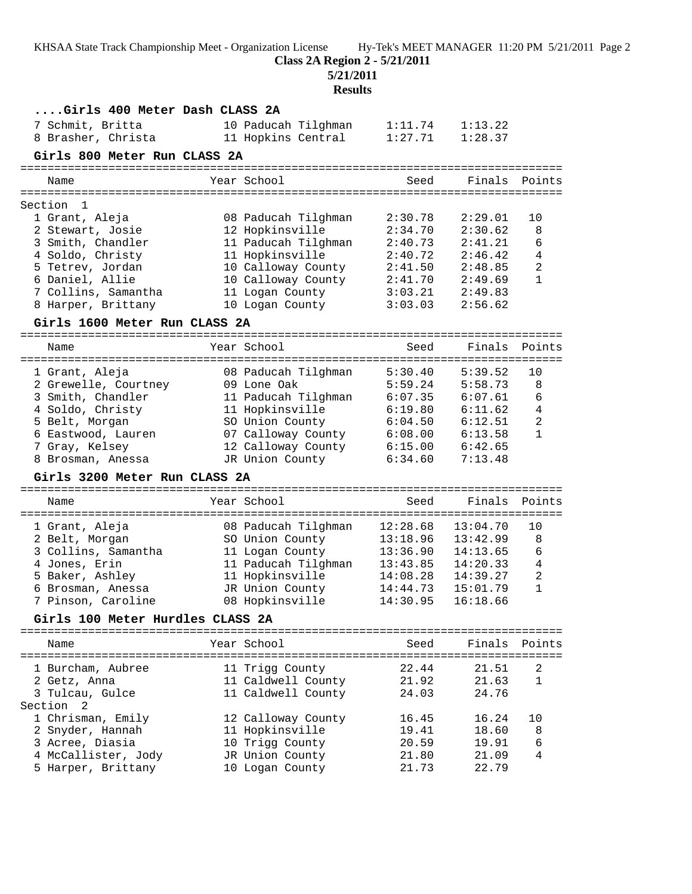**Class 2A Region 2 - 5/21/2011**

**5/21/2011**

| Girls 400 Meter Dash CLASS 2A    |                     |          |          |                |
|----------------------------------|---------------------|----------|----------|----------------|
| 7 Schmit, Britta                 | 10 Paducah Tilghman | 1:11.74  | 1:13.22  |                |
| 8 Brasher, Christa               | 11 Hopkins Central  | 1:27.71  | 1:28.37  |                |
| Girls 800 Meter Run CLASS 2A     |                     |          |          |                |
|                                  |                     |          |          |                |
| Name                             | Year School         | Seed     | Finals   | Points         |
| Section<br>1                     |                     |          |          |                |
| 1 Grant, Aleja                   | 08 Paducah Tilghman | 2:30.78  | 2:29.01  | 10             |
| 2 Stewart, Josie                 | 12 Hopkinsville     | 2:34.70  | 2:30.62  | 8              |
| 3 Smith, Chandler                | 11 Paducah Tilghman | 2:40.73  | 2:41.21  | 6              |
| 4 Soldo, Christy                 | 11 Hopkinsville     | 2:40.72  | 2:46.42  | 4              |
| 5 Tetrev, Jordan                 | 10 Calloway County  | 2:41.50  | 2:48.85  | $\overline{2}$ |
| 6 Daniel, Allie                  | 10 Calloway County  | 2:41.70  | 2:49.69  | $\mathbf{1}$   |
| 7 Collins, Samantha              | 11 Logan County     | 3:03.21  | 2:49.83  |                |
| 8 Harper, Brittany               | 10 Logan County     | 3:03.03  | 2:56.62  |                |
| Girls 1600 Meter Run CLASS 2A    |                     |          |          |                |
|                                  |                     |          |          |                |
| Name                             | Year School         | Seed     | Finals   | Points         |
| 1 Grant, Aleja                   | 08 Paducah Tilghman | 5:30.40  | 5:39.52  | 10             |
| 2 Grewelle, Courtney             | 09 Lone Oak         | 5:59.24  | 5:58.73  | 8              |
| 3 Smith, Chandler                | 11 Paducah Tilghman | 6:07.35  | 6:07.61  | 6              |
| 4 Soldo, Christy                 | 11 Hopkinsville     | 6:19.80  | 6:11.62  | 4              |
| 5 Belt, Morgan                   | SO Union County     | 6:04.50  | 6:12.51  | $\overline{2}$ |
| 6 Eastwood, Lauren               | 07 Calloway County  | 6:08.00  | 6:13.58  | $\mathbf{1}$   |
| 7 Gray, Kelsey                   | 12 Calloway County  | 6:15.00  | 6:42.65  |                |
| 8 Brosman, Anessa                | JR Union County     | 6:34.60  | 7:13.48  |                |
| Girls 3200 Meter Run CLASS 2A    |                     |          |          |                |
|                                  |                     |          |          |                |
| Name                             | Year School         | Seed     |          | Finals Points  |
| 1 Grant, Aleja                   | 08 Paducah Tilghman | 12:28.68 | 13:04.70 | 10             |
| 2 Belt, Morgan                   | SO Union County     | 13:18.96 | 13:42.99 | 8              |
| 3 Collins, Samantha              | 11 Logan County     | 13:36.90 | 14:13.65 | 6              |
| 4 Jones, Erin                    | 11 Paducah Tilghman | 13:43.85 | 14:20.33 | $\overline{4}$ |
| 5 Baker, Ashley                  | 11 Hopkinsville     | 14:08.28 | 14:39.27 | $\overline{2}$ |
| 6 Brosman, Anessa                | JR Union County     | 14:44.73 | 15:01.79 | $\mathbf{1}$   |
| 7 Pinson, Caroline               | 08 Hopkinsville     | 14:30.95 | 16:18.66 |                |
| Girls 100 Meter Hurdles CLASS 2A |                     |          |          |                |
|                                  |                     |          |          |                |
| Name                             | Year School         | Seed     |          | Finals Points  |
| 1 Burcham, Aubree                | 11 Trigg County     | 22.44    | 21.51    | 2              |
| 2 Getz, Anna                     | 11 Caldwell County  | 21.92    | 21.63    | $\mathbf{1}$   |
| 3 Tulcau, Gulce                  | 11 Caldwell County  | 24.03    | 24.76    |                |
| Section<br>-2                    |                     |          |          |                |
| 1 Chrisman, Emily                | 12 Calloway County  | 16.45    | 16.24    | 10             |
| 2 Snyder, Hannah                 | 11 Hopkinsville     | 19.41    | 18.60    | 8              |
| 3 Acree, Diasia                  | 10 Trigg County     | 20.59    | 19.91    | 6              |
| 4 McCallister, Jody              | JR Union County     | 21.80    | 21.09    | 4              |
| 5 Harper, Brittany               | 10 Logan County     | 21.73    | 22.79    |                |
|                                  |                     |          |          |                |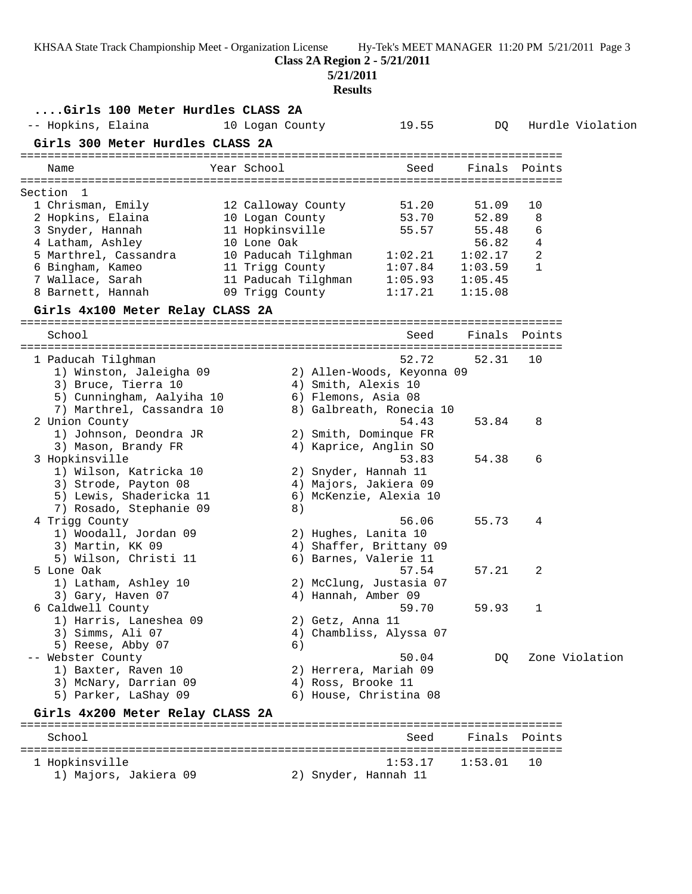**Class 2A Region 2 - 5/21/2011**

### **5/21/2011**

| Girls 100 Meter Hurdles CLASS 2A            |                                                        |                                   |                    |                  |                  |
|---------------------------------------------|--------------------------------------------------------|-----------------------------------|--------------------|------------------|------------------|
| -- Hopkins, Elaina                          | 10 Logan County                                        | 19.55                             | DQ                 |                  | Hurdle Violation |
| Girls 300 Meter Hurdles CLASS 2A            |                                                        |                                   |                    |                  |                  |
| Year School<br>Name                         |                                                        | Seed                              |                    | Finals Points    |                  |
| Section 1                                   |                                                        |                                   |                    |                  |                  |
| 1 Chrisman, Emily                           | 12 Calloway County                                     | 51.20                             | 51.09              | 10               |                  |
| 2 Hopkins, Elaina                           | 10 Logan County                                        | 53.70                             | 52.89              | 8                |                  |
| 3 Snyder, Hannah                            | 11 Hopkinsville                                        | 55.57                             | 55.48              | 6                |                  |
| 4 Latham, Ashley<br>10 Lone Oak             |                                                        |                                   | 56.82              | 4                |                  |
| 5 Marthrel, Cassandra                       | 10 Paducah Tilghman 1:02.21<br>11 Trigg County 1:07.84 |                                   | 1:02.17            | 2<br>$\mathbf 1$ |                  |
| 6 Bingham, Kameo<br>7 Wallace, Sarah        | 11 Paducah Tilghman 1:05.93                            |                                   | 1:03.59<br>1:05.45 |                  |                  |
| 8 Barnett, Hannah                           | 09 Trigg County 1:17.21                                |                                   | 1:15.08            |                  |                  |
| Girls 4x100 Meter Relay CLASS 2A            |                                                        |                                   |                    |                  |                  |
|                                             |                                                        |                                   |                    |                  |                  |
| School                                      |                                                        | Seed                              |                    | Finals Points    |                  |
| 1 Paducah Tilghman                          |                                                        | 52.72                             | 52.31              | 10               |                  |
| 1) Winston, Jaleigha 09                     |                                                        | 2) Allen-Woods, Keyonna 09        |                    |                  |                  |
| 3) Bruce, Tierra 10                         | 4) Smith, Alexis 10                                    |                                   |                    |                  |                  |
| 5) Cunningham, Aalyiha 10                   | 6) Flemons, Asia 08                                    |                                   |                    |                  |                  |
| 7) Marthrel, Cassandra 10<br>2 Union County |                                                        | 8) Galbreath, Ronecia 10<br>54.43 | 53.84              | 8                |                  |
| 1) Johnson, Deondra JR                      | 2) Smith, Dominque FR                                  |                                   |                    |                  |                  |
| 3) Mason, Brandy FR                         | 4) Kaprice, Anglin SO                                  |                                   |                    |                  |                  |
| 3 Hopkinsville                              |                                                        | 53.83                             | 54.38              | 6                |                  |
| 1) Wilson, Katricka 10                      | 2) Snyder, Hannah 11                                   |                                   |                    |                  |                  |
| 3) Strode, Payton 08                        | 4) Majors, Jakiera 09                                  |                                   |                    |                  |                  |
| 5) Lewis, Shadericka 11                     |                                                        | 6) McKenzie, Alexia 10            |                    |                  |                  |
| 7) Rosado, Stephanie 09                     | 8)                                                     |                                   |                    |                  |                  |
| 4 Trigg County                              |                                                        | 56.06                             | 55.73              | 4                |                  |
| 1) Woodall, Jordan 09                       | 2) Hughes, Lanita 10                                   |                                   |                    |                  |                  |
| 3) Martin, KK 09                            |                                                        | 4) Shaffer, Brittany 09           |                    |                  |                  |
| 5) Wilson, Christi 11                       | 6) Barnes, Valerie 11                                  |                                   |                    |                  |                  |
| 5 Lone Oak                                  |                                                        | 57.54                             | 57.21              | 2                |                  |
| 1) Latham, Ashley 10<br>3) Gary, Haven 07   | 4) Hannah, Amber 09                                    | 2) McClung, Justasia 07           |                    |                  |                  |
| 6 Caldwell County                           |                                                        | 59.70                             | 59.93              |                  |                  |
| 1) Harris, Laneshea 09                      | 2) Getz, Anna 11                                       |                                   |                    |                  |                  |
| 3) Simms, Ali 07                            |                                                        | 4) Chambliss, Alyssa 07           |                    |                  |                  |
| 5) Reese, Abby 07                           | 6)                                                     |                                   |                    |                  |                  |
| -- Webster County                           |                                                        | 50.04                             | DQ                 |                  | Zone Violation   |
| 1) Baxter, Raven 10                         | 2) Herrera, Mariah 09                                  |                                   |                    |                  |                  |
| 3) McNary, Darrian 09                       | 4) Ross, Brooke 11                                     |                                   |                    |                  |                  |
| 5) Parker, LaShay 09                        |                                                        | 6) House, Christina 08            |                    |                  |                  |
| Girls 4x200 Meter Relay CLASS 2A            |                                                        |                                   |                    |                  |                  |
| School                                      |                                                        | Seed                              |                    | Finals Points    |                  |
| 1 Hopkinsville                              |                                                        | 1:53.17                           | 1:53.01            | 10               |                  |
| 1) Majors, Jakiera 09                       | 2) Snyder, Hannah 11                                   |                                   |                    |                  |                  |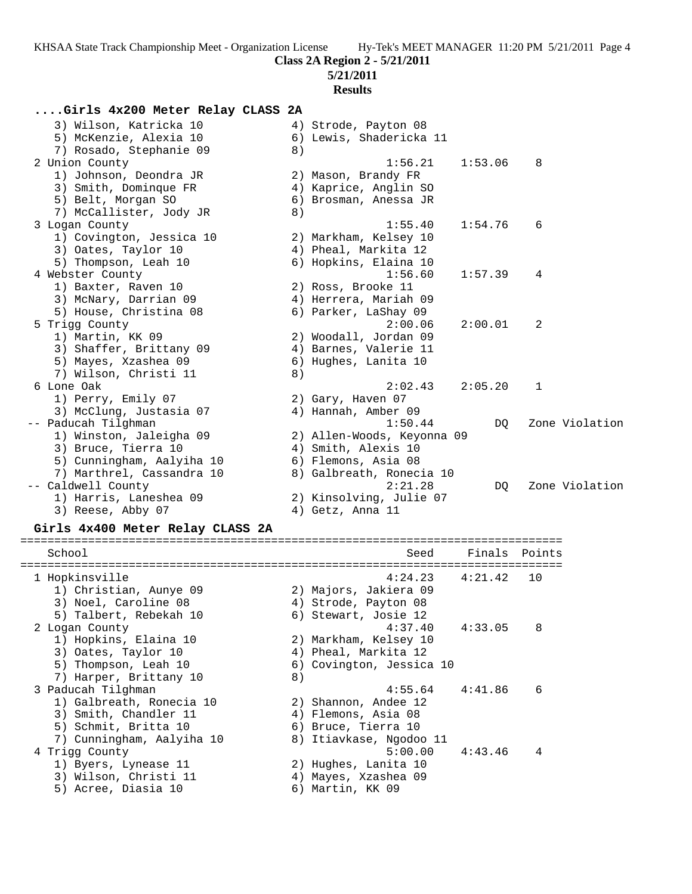**Class 2A Region 2 - 5/21/2011**

### **5/21/2011**

### **Results**

# **....Girls 4x200 Meter Relay CLASS 2A**

| 3) Wilson, Katricka 10<br>5) McKenzie, Alexia 10<br>7) Rosado, Stephanie 09 | 8) | 4) Strode, Payton 08<br>6) Lewis, Shadericka 11 |         |                |
|-----------------------------------------------------------------------------|----|-------------------------------------------------|---------|----------------|
| 2 Union County                                                              |    | 1:56.21                                         | 1:53.06 | 8              |
| 1) Johnson, Deondra JR                                                      |    | 2) Mason, Brandy FR                             |         |                |
| 3) Smith, Dominque FR                                                       |    | 4) Kaprice, Anglin SO                           |         |                |
| 5) Belt, Morgan SO                                                          |    | 6) Brosman, Anessa JR                           |         |                |
| 7) McCallister, Jody JR                                                     | 8) |                                                 |         |                |
| 3 Logan County                                                              |    | 1:55.40                                         | 1:54.76 | 6              |
| 1) Covington, Jessica 10                                                    |    | 2) Markham, Kelsey 10                           |         |                |
| 3) Oates, Taylor 10                                                         |    | 4) Pheal, Markita 12                            |         |                |
| 5) Thompson, Leah 10                                                        |    | 6) Hopkins, Elaina 10                           |         |                |
| 4 Webster County                                                            |    | 1:56.60                                         | 1:57.39 | 4              |
| 1) Baxter, Raven 10                                                         |    | 2) Ross, Brooke 11                              |         |                |
| 3) McNary, Darrian 09                                                       |    | 4) Herrera, Mariah 09                           |         |                |
| 5) House, Christina 08                                                      |    | 6) Parker, LaShay 09                            |         |                |
| 5 Trigg County                                                              |    | 2:00.06                                         | 2:00.01 | 2              |
| 1) Martin, KK 09                                                            |    | 2) Woodall, Jordan 09                           |         |                |
| 3) Shaffer, Brittany 09                                                     |    | 4) Barnes, Valerie 11                           |         |                |
| 5) Mayes, Xzashea 09                                                        |    | 6) Hughes, Lanita 10                            |         |                |
| 7) Wilson, Christi 11                                                       | 8) |                                                 |         |                |
| 6 Lone Oak                                                                  |    | 2:02.43                                         | 2:05.20 | $\mathbf{1}$   |
| 1) Perry, Emily 07                                                          |    | 2) Gary, Haven 07                               |         |                |
| 3) McClung, Justasia 07                                                     |    | 4) Hannah, Amber 09                             |         |                |
| -- Paducah Tilghman                                                         |    | 1:50.44                                         | DO      | Zone Violation |
| 1) Winston, Jaleigha 09                                                     |    | 2) Allen-Woods, Keyonna 09                      |         |                |
| 3) Bruce, Tierra 10                                                         |    | 4) Smith, Alexis 10                             |         |                |
| 5) Cunningham, Aalyiha 10                                                   |    | 6) Flemons, Asia 08                             |         |                |
| 7) Marthrel, Cassandra 10                                                   |    | 8) Galbreath, Ronecia 10                        |         |                |
| -- Caldwell County                                                          |    | 2:21.28                                         | DO.     | Zone Violation |
| 1) Harris, Laneshea 09                                                      |    | 2) Kinsolving, Julie 07                         |         |                |
| 3) Reese, Abby 07                                                           |    | 4) Getz, Anna 11                                |         |                |

### **Girls 4x400 Meter Relay CLASS 2A**

| School                                                                                                 |          | Seed                                                                                       | Finals Points |    |
|--------------------------------------------------------------------------------------------------------|----------|--------------------------------------------------------------------------------------------|---------------|----|
| 1 Hopkinsville<br>1) Christian, Aunye 09                                                               |          | $4:24.23$ $4:21.42$<br>2) Majors, Jakiera 09                                               |               | 10 |
| 3) Noel, Caroline 08<br>5) Talbert, Rebekah 10                                                         |          | 4) Strode, Payton 08<br>6) Stewart, Josie 12                                               |               |    |
| 2 Logan County<br>1) Hopkins, Elaina 10<br>3) Oates, Taylor 10<br>5) Thompson, Leah 10                 |          | 4:37.40<br>2) Markham, Kelsey 10<br>4) Pheal, Markita 12<br>6) Covington, Jessica 10       | 4:33.05       | 8  |
| 7) Harper, Brittany 10<br>3 Paducah Tilghman                                                           | 8)       | $4:55.64$ $4:41.86$                                                                        |               | 6  |
| 1) Galbreath, Ronecia 10<br>3) Smith, Chandler 11<br>5) Schmit, Britta 10<br>7) Cunningham, Aalyiha 10 | 4)       | 2) Shannon, Andee 12<br>Flemons, Asia 08<br>6) Bruce, Tierra 10<br>8) Itiavkase, Ngodoo 11 |               |    |
| 4 Trigg County<br>1) Byers, Lynease 11<br>3) Wilson, Christi 11<br>5) Acree, Diasia 10                 | 4)<br>6) | 5:00.00<br>2) Hughes, Lanita 10<br>Mayes, Xzashea 09<br>Martin, KK 09                      | 4:43.46       | 4  |
|                                                                                                        |          |                                                                                            |               |    |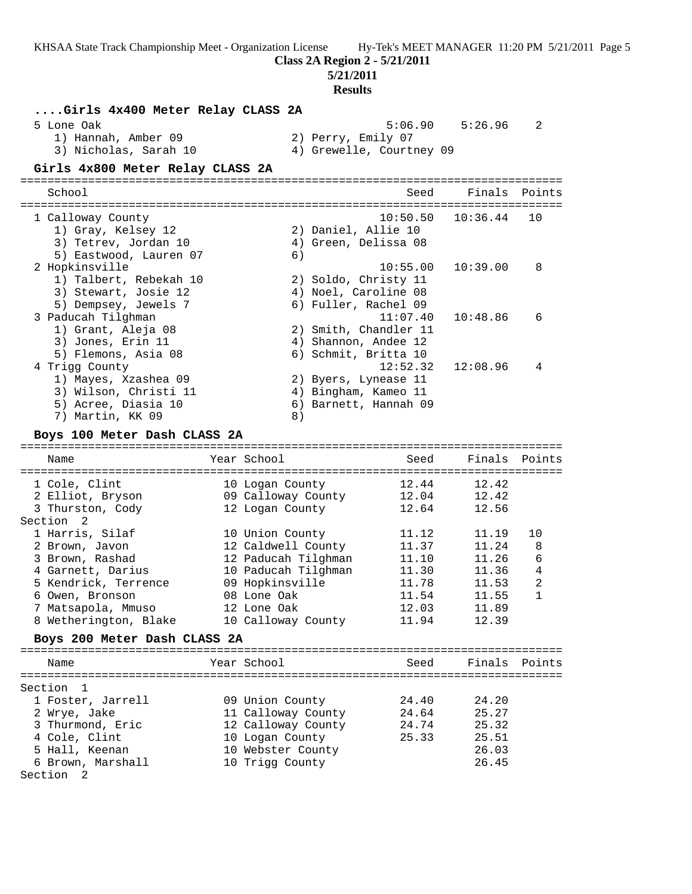**Class 2A Region 2 - 5/21/2011**

# **5/21/2011**

| Girls 4x400 Meter Relay CLASS 2A<br>5 Lone Oak<br>1) Hannah, Amber 09<br>3) Nicholas, Sarah 10<br>Girls 4x800 Meter Relay CLASS 2A                                                   |                                                                  | 2) Perry, Emily 07                                                                     | 5:06.90<br>4) Grewelle, Courtney 09                                               | 5:26.96                                                              | 2                                      |
|--------------------------------------------------------------------------------------------------------------------------------------------------------------------------------------|------------------------------------------------------------------|----------------------------------------------------------------------------------------|-----------------------------------------------------------------------------------|----------------------------------------------------------------------|----------------------------------------|
| School                                                                                                                                                                               |                                                                  |                                                                                        | Seed                                                                              | Finals                                                               | Points                                 |
| 1 Calloway County<br>1) Gray, Kelsey 12<br>3) Tetrev, Jordan 10<br>5) Eastwood, Lauren 07                                                                                            |                                                                  | 2) Daniel, Allie 10<br>6)                                                              | 10:50.50<br>4) Green, Delissa 08                                                  | 10:36.44                                                             | 10                                     |
| 2 Hopkinsville<br>1) Talbert, Rebekah 10<br>3) Stewart, Josie 12<br>5) Dempsey, Jewels 7                                                                                             |                                                                  |                                                                                        | 10:55.00<br>2) Soldo, Christy 11<br>4) Noel, Caroline 08<br>6) Fuller, Rachel 09  | 10:39.00                                                             | 8                                      |
| 3 Paducah Tilghman<br>1) Grant, Aleja 08<br>3) Jones, Erin 11<br>5) Flemons, Asia 08                                                                                                 |                                                                  |                                                                                        | 11:07.40<br>2) Smith, Chandler 11<br>4) Shannon, Andee 12<br>6) Schmit, Britta 10 | 10:48.86                                                             | 6                                      |
| 4 Trigg County<br>1) Mayes, Xzashea 09<br>3) Wilson, Christi 11<br>5) Acree, Diasia 10<br>7) Martin, KK 09<br>Boys 100 Meter Dash CLASS 2A                                           |                                                                  | 8)                                                                                     | 12:52.32<br>2) Byers, Lynease 11<br>4) Bingham, Kameo 11<br>6) Barnett, Hannah 09 | 12:08.96                                                             | 4                                      |
| Name                                                                                                                                                                                 | Year School                                                      |                                                                                        | Seed                                                                              | Finals                                                               | Points                                 |
| 1 Cole, Clint<br>2 Elliot, Bryson<br>3 Thurston, Cody                                                                                                                                | 10 Logan County<br>12 Logan County                               | 09 Calloway County                                                                     | 12.44<br>12.04<br>12.64                                                           | 12.42<br>12.42<br>12.56                                              |                                        |
| Section<br>-2<br>1 Harris, Silaf<br>2 Brown, Javon<br>3 Brown, Rashad<br>4 Garnett, Darius<br>5 Kendrick, Terrence<br>6 Owen, Bronson<br>7 Matsapola, Mmuso<br>8 Wetherington, Blake | 10 Union County<br>09 Hopkinsville<br>08 Lone Oak<br>12 Lone Oak | 12 Caldwell County<br>12 Paducah Tilghman<br>10 Paducah Tilghman<br>10 Calloway County | 11.12<br>11.37<br>11.10<br>11.30<br>11.78<br>11.54<br>12.03<br>11.94              | 11.19<br>11.24<br>11.26<br>11.36<br>11.53<br>11.55<br>11.89<br>12.39 | 10<br>8<br>6<br>4<br>2<br>$\mathbf{1}$ |
| Boys 200 Meter Dash CLASS 2A                                                                                                                                                         |                                                                  |                                                                                        |                                                                                   |                                                                      |                                        |
| Name                                                                                                                                                                                 | Year School                                                      |                                                                                        | Seed                                                                              | Finals                                                               | Points                                 |
| Section 1<br>1 Foster, Jarrell<br>2 Wrye, Jake<br>3 Thurmond, Eric<br>4 Cole, Clint<br>5 Hall, Keenan<br>6 Brown, Marshall<br>Section 2                                              | 09 Union County<br>10 Logan County<br>10 Trigg County            | 11 Calloway County<br>12 Calloway County<br>10 Webster County                          | 24.40<br>24.64<br>24.74<br>25.33                                                  | 24.20<br>25.27<br>25.32<br>25.51<br>26.03<br>26.45                   |                                        |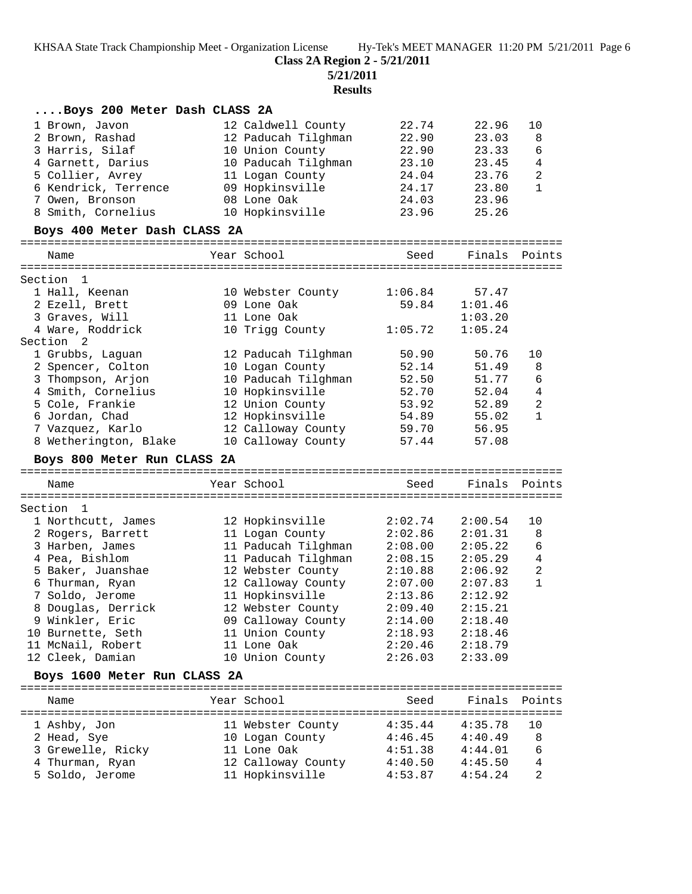**Class 2A Region 2 - 5/21/2011**

**5/21/2011**

| Boys 200 Meter Dash CLASS 2A          |                                       |                    |                    |                |
|---------------------------------------|---------------------------------------|--------------------|--------------------|----------------|
| 1 Brown, Javon                        | 12 Caldwell County                    | 22.74              | 22.96              | 10             |
| 2 Brown, Rashad                       | 12 Paducah Tilghman                   | 22.90              | 23.03              | 8              |
| 3 Harris, Silaf                       | 10 Union County                       | 22.90              | 23.33              | 6              |
| 4 Garnett, Darius                     | 10 Paducah Tilghman                   | 23.10              | 23.45              | $\overline{4}$ |
| 5 Collier, Avrey                      | 11 Logan County                       | 24.04              | 23.76              | $\sqrt{2}$     |
| 6 Kendrick, Terrence                  | 09 Hopkinsville                       | 24.17              | 23.80              | 1              |
| 7 Owen, Bronson                       | 08 Lone Oak                           | 24.03              | 23.96              |                |
| 8 Smith, Cornelius                    | 10 Hopkinsville                       | 23.96              | 25.26              |                |
| Boys 400 Meter Dash CLASS 2A          |                                       |                    |                    |                |
| Name                                  | Year School                           | Seed               | Finals Points      |                |
| Section 1                             |                                       |                    |                    |                |
| 1 Hall, Keenan                        | 10 Webster County                     | 1:06.84            | 57.47              |                |
| 2 Ezell, Brett                        | 09 Lone Oak                           | 59.84              | 1:01.46            |                |
| 3 Graves, Will                        | 11 Lone Oak                           |                    | 1:03.20            |                |
| 4 Ware, Roddrick                      | 10 Trigg County                       | 1:05.72            | 1:05.24            |                |
| Section 2                             |                                       |                    |                    |                |
| 1 Grubbs, Laguan                      | 12 Paducah Tilghman                   | 50.90              | 50.76              | 10             |
| 2 Spencer, Colton                     | 10 Logan County                       | 52.14              | 51.49              | 8              |
| 3 Thompson, Arjon                     | 10 Paducah Tilghman                   | 52.50              | 51.77              | 6              |
| 4 Smith, Cornelius                    | 10 Hopkinsville                       | 52.70              | 52.04              | $\overline{4}$ |
| 5 Cole, Frankie                       | 12 Union County                       | 53.92              | 52.89              | $\overline{c}$ |
| 6 Jordan, Chad                        | 12 Hopkinsville                       | 54.89              | 55.02              | $\mathbf{1}$   |
| 7 Vazquez, Karlo                      | 12 Calloway County                    | 59.70              | 56.95              |                |
| 8 Wetherington, Blake                 | 10 Calloway County                    | 57.44              | 57.08              |                |
|                                       |                                       |                    |                    |                |
| Boys 800 Meter Run CLASS 2A           |                                       |                    |                    |                |
|                                       |                                       |                    |                    |                |
| Name                                  | Year School                           | Seed               | Finals             | Points         |
|                                       |                                       |                    |                    |                |
| Section<br>1                          |                                       |                    |                    | 10             |
| 1 Northcutt, James                    | 12 Hopkinsville                       | 2:02.74<br>2:02.86 | 2:00.54<br>2:01.31 | 8              |
| 2 Rogers, Barrett                     | 11 Logan County                       |                    | 2:05.22            | 6              |
| 3 Harben, James                       | 11 Paducah Tilghman                   | 2:08.00            | 2:05.29            | 4              |
| 4 Pea, Bishlom                        | 11 Paducah Tilghman                   | 2:08.15<br>2:10.88 | 2:06.92            | 2              |
| 5 Baker, Juanshae                     | 12 Webster County                     |                    |                    | $\mathbf{1}$   |
| 6 Thurman, Ryan<br>7 Soldo, Jerome    | 12 Calloway County                    | 2:07.00<br>2:13.86 | 2:07.83<br>2:12.92 |                |
|                                       | 11 Hopkinsville                       |                    |                    |                |
| 8 Douglas, Derrick                    | 12 Webster County                     | 2:09.40            | 2:15.21            |                |
| 9 Winkler, Eric                       | 09 Calloway County                    | 2:14.00            | 2:18.40            |                |
| 10 Burnette, Seth                     | 11 Union County<br>11 Lone Oak        | 2:18.93<br>2:20.46 | 2:18.46            |                |
| 11 McNail, Robert<br>12 Cleek, Damian | 10 Union County                       | 2:26.03            | 2:18.79<br>2:33.09 |                |
| Boys 1600 Meter Run CLASS 2A          |                                       |                    |                    |                |
|                                       |                                       |                    |                    |                |
| Name                                  | Year School                           | Seed               | Finals             | Points         |
|                                       |                                       |                    |                    |                |
| 1 Ashby, Jon                          | 11 Webster County                     | 4:35.44            | 4:35.78            | 10             |
| 2 Head, Sye                           | 10 Logan County                       | 4:46.45            | 4:40.49            | 8              |
| 3 Grewelle, Ricky                     | 11 Lone Oak                           | 4:51.38            | 4:44.01            | 6              |
| 4 Thurman, Ryan<br>5 Soldo, Jerome    | 12 Calloway County<br>11 Hopkinsville | 4:40.50<br>4:53.87 | 4:45.50<br>4:54.24 | 4<br>2         |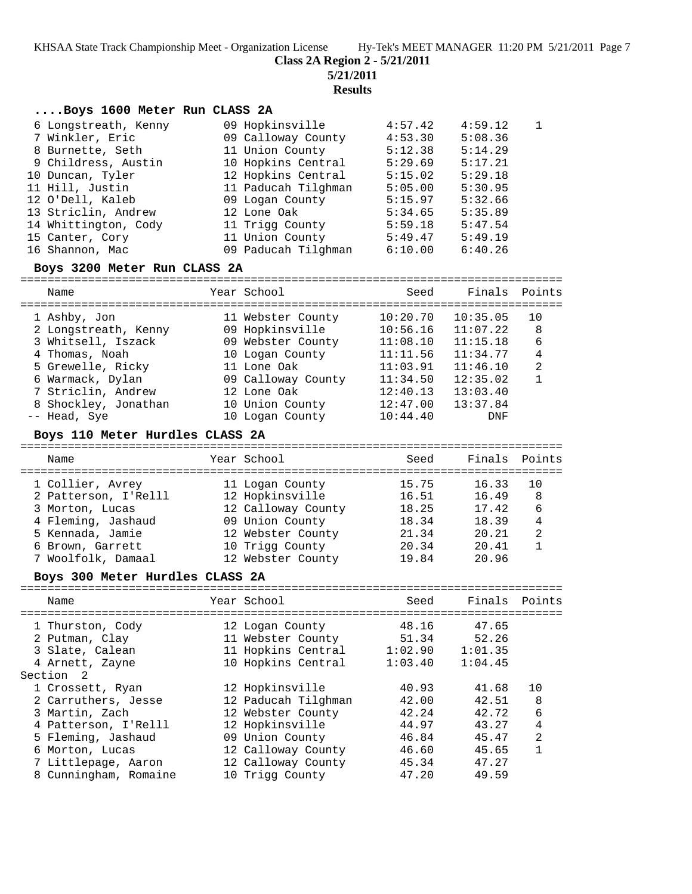**Class 2A Region 2 - 5/21/2011**

**5/21/2011**

**Results**

### **....Boys 1600 Meter Run CLASS 2A**

| 6 Longstreath, Kenny | 09 Hopkinsville     | 4:57.42 | 4:59.12 | $\overline{1}$ |
|----------------------|---------------------|---------|---------|----------------|
| 7 Winkler, Eric      | 09 Calloway County  | 4:53.30 | 5:08.36 |                |
| 8 Burnette, Seth     | 11 Union County     | 5:12.38 | 5:14.29 |                |
| 9 Childress, Austin  | 10 Hopkins Central  | 5:29.69 | 5:17.21 |                |
| 10 Duncan, Tyler     | 12 Hopkins Central  | 5:15.02 | 5:29.18 |                |
| 11 Hill, Justin      | 11 Paducah Tilghman | 5:05.00 | 5:30.95 |                |
| 12 O'Dell, Kaleb     | 09 Logan County     | 5:15.97 | 5:32.66 |                |
| 13 Striclin, Andrew  | 12 Lone Oak         | 5:34.65 | 5:35.89 |                |
| 14 Whittington, Cody | 11 Trigg County     | 5:59.18 | 5:47.54 |                |
| 15 Canter, Cory      | 11 Union County     | 5:49.47 | 5:49.19 |                |
| 16 Shannon, Mac      | 09 Paducah Tilghman | 6:10.00 | 6:40.26 |                |

#### **Boys 3200 Meter Run CLASS 2A**

================================================================================ Name Year School Seed Finals Points ================================================================================ 1 Ashby, Jon 11 Webster County 10:20.70 10:35.05 10 2 Longstreath, Kenny 09 Hopkinsville 10:56.16 11:07.22 8 3 Whitsell, Iszack 09 Webster County 11:08.10 11:15.18 6 4 Thomas, Noah 10 Logan County 11:11.56 11:34.77 4 5 Grewelle, Ricky 11 Lone Oak 11:03.91 11:46.10 2 6 Warmack, Dylan 09 Calloway County 11:34.50 12:35.02 1 7 Striclin, Andrew 12 Lone Oak 12:40.13 13:03.40 8 Shockley, Jonathan 10 Union County 12:47.00 13:37.84 -- Head, Sye 10 Logan County 10:44.40 DNF

#### **Boys 110 Meter Hurdles CLASS 2A**

================================================================================ Name Year School Seed Finals Points ================================================================================ 1 Collier, Avrey 11 Logan County 15.75 16.33 10 2 Patterson, I'Relll 12 Hopkinsville 16.51 16.49 8 3 Morton, Lucas 12 Calloway County 18.25 17.42 6 4 Fleming, Jashaud 09 Union County 18.34 18.39 4 5 Kennada, Jamie 12 Webster County 21.34 20.21 2 6 Brown, Garrett 10 Trigg County 20.34 20.41 1 7 Woolfolk, Damaal 12 Webster County 19.84 20.96

#### **Boys 300 Meter Hurdles CLASS 2A**

================================================================================ Name Year School Seed Finals Points ================================================================================ 1 Thurston, Cody 12 Logan County 48.16 47.65 2 Putman, Clay 11 Webster County 51.34 52.26 3 Slate, Calean 11 Hopkins Central 1:02.90 1:01.35 4 Arnett, Zayne 10 Hopkins Central 1:03.40 1:04.45 Section 2 1 Crossett, Ryan 12 Hopkinsville 40.93 41.68 10 2 Carruthers, Jesse 12 Paducah Tilghman 42.00 42.51 8 3 Martin, Zach 12 Webster County 42.24 42.72 6 4 Patterson, I'Relll 12 Hopkinsville 44.97 43.27 4 5 Fleming, Jashaud 09 Union County 46.84 45.47 2 6 Morton, Lucas 12 Calloway County 46.60 45.65 1 7 Littlepage, Aaron 12 Calloway County 45.34 47.27 8 Cunningham, Romaine 10 Trigg County 47.20 49.59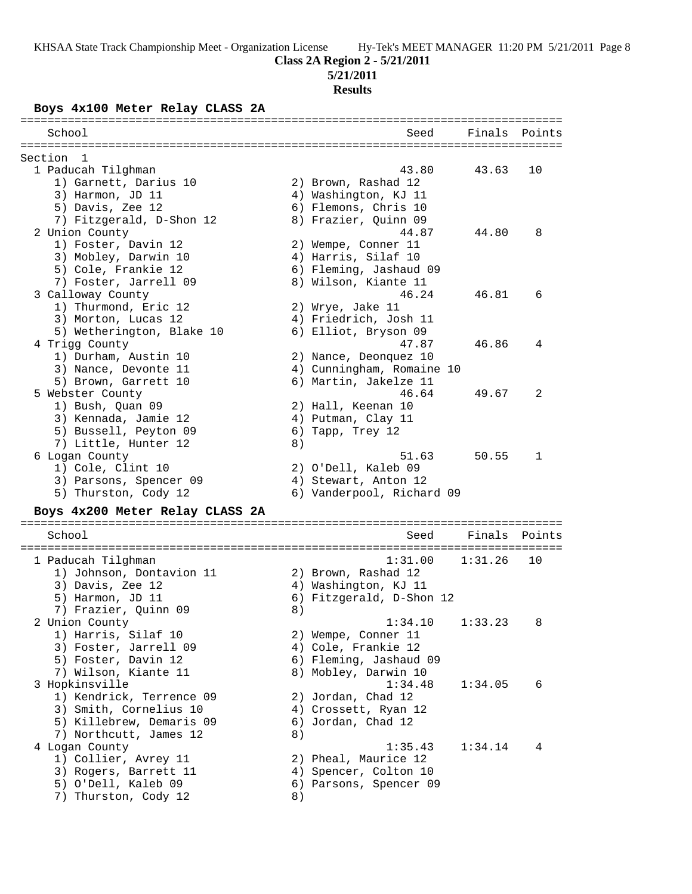# **Class 2A Region 2 - 5/21/2011**

**5/21/2011**

# **Results**

### **Boys 4x100 Meter Relay CLASS 2A**

| =====================<br>================                                         |    |                                      |         |        |
|-----------------------------------------------------------------------------------|----|--------------------------------------|---------|--------|
| School                                                                            |    | Seed                                 | Finals  | Points |
| Section<br>- 1                                                                    |    |                                      |         |        |
| 1 Paducah Tilghman                                                                |    | 43.80                                | 43.63   | 10     |
| 1) Garnett, Darius 10                                                             |    | 2) Brown, Rashad 12                  |         |        |
| 3) Harmon, JD 11                                                                  |    | 4) Washington, KJ 11                 |         |        |
| 5) Davis, Zee 12                                                                  |    | 6) Flemons, Chris 10                 |         |        |
| 7) Fitzgerald, D-Shon 12                                                          |    | 8) Frazier, Quinn 09                 |         |        |
| 2 Union County                                                                    |    | 44.87                                | 44.80   | 8      |
| 1) Foster, Davin 12                                                               |    | 2) Wempe, Conner 11                  |         |        |
| 3) Mobley, Darwin 10                                                              |    | 4) Harris, Silaf 10                  |         |        |
| 5) Cole, Frankie 12                                                               |    | 6) Fleming, Jashaud 09               |         |        |
| 7) Foster, Jarrell 09                                                             |    | 8) Wilson, Kiante 11                 |         |        |
| 3 Calloway County                                                                 |    | 46.24                                | 46.81   | 6      |
| 1) Thurmond, Eric 12                                                              |    | 2) Wrye, Jake 11                     |         |        |
| 3) Morton, Lucas 12                                                               |    | 4) Friedrich, Josh 11                |         |        |
| 5) Wetherington, Blake 10                                                         |    | 6) Elliot, Bryson 09                 |         |        |
| 4 Trigg County                                                                    |    | 47.87                                | 46.86   | 4      |
| 1) Durham, Austin 10                                                              |    | 2) Nance, Deonquez 10                |         |        |
| 3) Nance, Devonte 11                                                              |    | 4) Cunningham, Romaine 10            |         |        |
| 5) Brown, Garrett 10                                                              |    | 6) Martin, Jakelze 11                |         |        |
| 5 Webster County                                                                  |    | 46.64                                | 49.67   | 2      |
| 1) Bush, Quan 09                                                                  |    | 2) Hall, Keenan 10                   |         |        |
| 3) Kennada, Jamie 12                                                              |    | 4) Putman, Clay 11                   |         |        |
| 5) Bussell, Peyton 09                                                             |    | 6) Tapp, Trey 12                     |         |        |
| 7) Little, Hunter 12                                                              | 8) |                                      |         |        |
| 6 Logan County                                                                    |    | 51.63                                | 50.55   | 1      |
| 1) Cole, Clint 10                                                                 |    | 2) O'Dell, Kaleb 09                  |         |        |
| 3) Parsons, Spencer 09                                                            |    | 4) Stewart, Anton 12                 |         |        |
| 5) Thurston, Cody 12                                                              |    | 6) Vanderpool, Richard 09            |         |        |
|                                                                                   |    |                                      |         |        |
| Boys 4x200 Meter Relay CLASS 2A<br>===========================<br>--------------- |    | ==================================== |         |        |
| School                                                                            |    | Seed                                 | Finals  | Points |
|                                                                                   |    |                                      |         |        |
| 1 Paducah Tilghman                                                                |    | 1:31.00                              | 1:31.26 | 10     |
| 1) Johnson, Dontavion 11                                                          |    | 2) Brown, Rashad 12                  |         |        |
| 3) Davis, Zee 12                                                                  |    | 4) Washington, KJ 11                 |         |        |
| 5) Harmon, JD 11                                                                  |    | 6) Fitzgerald, D-Shon 12             |         |        |
| 7) Frazier, Quinn 09                                                              | 8) |                                      |         |        |
| 2 Union County                                                                    |    | 1:34.10                              | 1:33.23 | 8      |
| 1) Harris, Silaf 10                                                               |    | 2) Wempe, Conner 11                  |         |        |
| 3) Foster, Jarrell 09                                                             |    | 4) Cole, Frankie 12                  |         |        |
| 5) Foster, Davin 12                                                               |    | 6) Fleming, Jashaud 09               |         |        |
| 7) Wilson, Kiante 11                                                              |    | 8) Mobley, Darwin 10                 |         |        |
| 3 Hopkinsville                                                                    |    | 1:34.48                              | 1:34.05 | 6      |
| 1) Kendrick, Terrence 09                                                          |    | 2) Jordan, Chad 12                   |         |        |
| 3) Smith, Cornelius 10                                                            |    | 4) Crossett, Ryan 12                 |         |        |
| 5) Killebrew, Demaris 09                                                          |    | 6) Jordan, Chad 12                   |         |        |
| 7) Northcutt, James 12                                                            | 8) |                                      |         |        |
| 4 Logan County                                                                    |    | 1:35.43                              | 1:34.14 | 4      |
| 1) Collier, Avrey 11                                                              |    | 2) Pheal, Maurice 12                 |         |        |
| 3) Rogers, Barrett 11                                                             |    | 4) Spencer, Colton 10                |         |        |
| 5) O'Dell, Kaleb 09                                                               |    | 6) Parsons, Spencer 09               |         |        |
| 7) Thurston, Cody 12                                                              | 8) |                                      |         |        |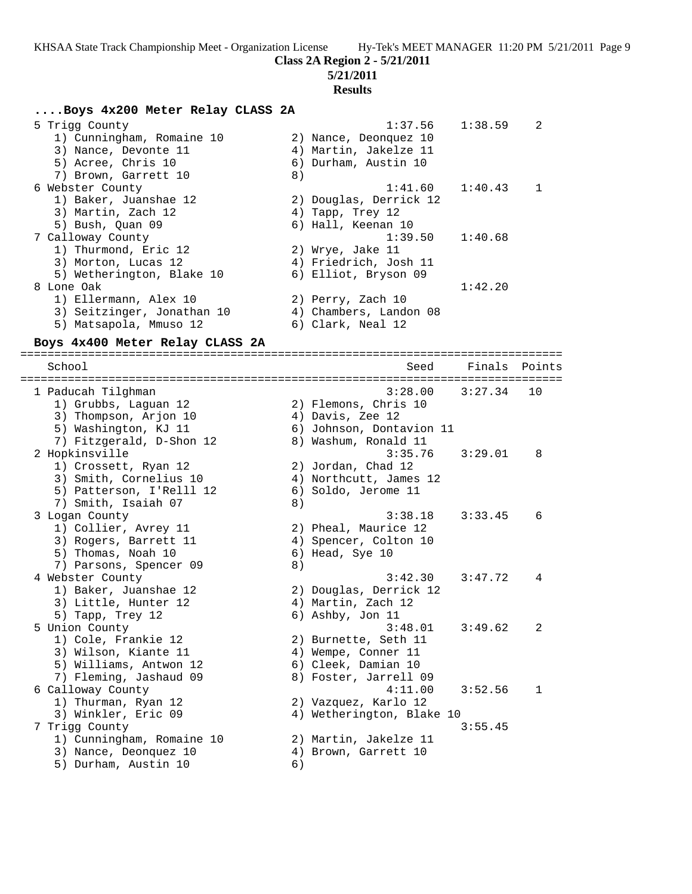**Class 2A Region 2 - 5/21/2011**

### **5/21/2011**

#### **Results**

### **....Boys 4x200 Meter Relay CLASS 2A**

| 5 Trigg County             | 1:37.56                | 1:38.59 | $\overline{2}$ |
|----------------------------|------------------------|---------|----------------|
| 1) Cunningham, Romaine 10  | 2) Nance, Deonquez 10  |         |                |
| 3) Nance, Devonte 11       | 4) Martin, Jakelze 11  |         |                |
| 5) Acree, Chris 10         | 6) Durham, Austin 10   |         |                |
| 7) Brown, Garrett 10       | 8)                     |         |                |
| 6 Webster County           | $1:41.60$ $1:40.43$    |         | $\mathbf{1}$   |
| 1) Baker, Juanshae 12      | 2) Douglas, Derrick 12 |         |                |
| 3) Martin, Zach 12         | 4) Tapp, Trey 12       |         |                |
| 5) Bush, Ouan 09           | 6) Hall, Keenan 10     |         |                |
| 7 Calloway County          | $1:39.50$ $1:40.68$    |         |                |
| 1) Thurmond, Eric 12       | 2) Wrye, Jake 11       |         |                |
| 3) Morton, Lucas 12        | 4) Friedrich, Josh 11  |         |                |
| 5) Wetherington, Blake 10  | 6) Elliot, Bryson 09   |         |                |
| 8 Lone Oak                 |                        | 1:42.20 |                |
| 1) Ellermann, Alex 10      | 2) Perry, Zach 10      |         |                |
| 3) Seitzinger, Jonathan 10 | 4) Chambers, Landon 08 |         |                |
| 5) Matsapola, Mmuso 12     | 6) Clark, Neal 12      |         |                |
|                            |                        |         |                |

#### **Boys 4x400 Meter Relay CLASS 2A**

================================================================================ School Seed Finals Points ================================================================================ 1 Paducah Tilghman 3:28.00 3:27.34 10 1) Grubbs, Laguan 12 2) Flemons, Chris 10 3) Thompson, Arjon 10 (4) Davis, Zee 12 5) Washington, KJ 11 6) Johnson, Dontavion 11 7) Fitzgerald, D-Shon 12 and 8) Washum, Ronald 11 2 Hopkinsville 3:35.76 3:29.01 8 1) Crossett, Ryan 12 2) Jordan, Chad 12 3) Smith, Cornelius 10 4) Northcutt, James 12 5) Patterson, I'Relll 12 6) Soldo, Jerome 11 7) Smith, Isaiah 07 8) 3 Logan County 3:38.18 3:33.45 6 1) Collier, Avrey 11 2) Pheal, Maurice 12 3) Rogers, Barrett 11 (4) Spencer, Colton 10 5) Thomas, Noah 10 6) Head, Sye 10 7) Parsons, Spencer 09 8) 4 Webster County 3:42.30 3:47.72 4 1) Baker, Juanshae 12 2) Douglas, Derrick 12 3) Little, Hunter 12 (4) Martin, Zach 12 5) Tapp, Trey 12 6) Ashby, Jon 11 5 Union County 3:48.01 3:49.62 2 1) Cole, Frankie 12 2) Burnette, Seth 11 3) Wilson, Kiante 11 4) Wempe, Conner 11 5) Williams, Antwon 12 (6) Cleek, Damian 10 7) Fleming, Jashaud 09 8) Foster, Jarrell 09 6 Calloway County 4:11.00 3:52.56 1 1) Thurman, Ryan 12 2) Vazquez, Karlo 12 3) Winkler, Eric 09 4) Wetherington, Blake 10 7 Trigg County 3:55.45 1) Cunningham, Romaine 10 2) Martin, Jakelze 11 3) Nance, Deonquez 10 (4) Brown, Garrett 10 5) Durham, Austin 10 6)